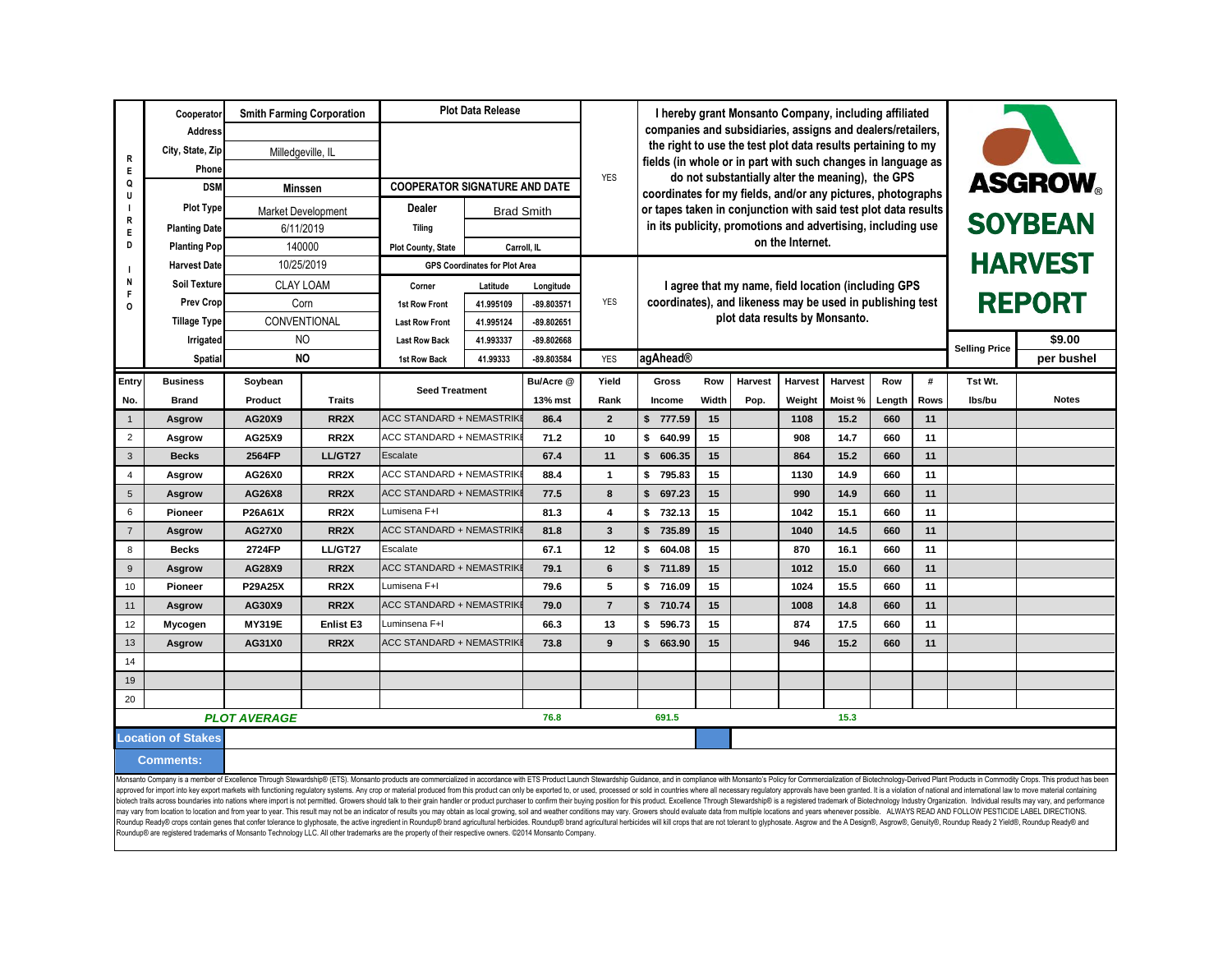|                                                                                                                                                                                                                                | Cooperator           |                            | <b>Smith Farming Corporation</b> | <b>Plot Data Release</b>             |                                      |              | I hereby grant Monsanto Company, including affiliated                                                                      |                                                                               |                                                                |                |                                |                |                                |      |         |              |
|--------------------------------------------------------------------------------------------------------------------------------------------------------------------------------------------------------------------------------|----------------------|----------------------------|----------------------------------|--------------------------------------|--------------------------------------|--------------|----------------------------------------------------------------------------------------------------------------------------|-------------------------------------------------------------------------------|----------------------------------------------------------------|----------------|--------------------------------|----------------|--------------------------------|------|---------|--------------|
|                                                                                                                                                                                                                                | <b>Address</b>       | Milledgeville, IL<br>Phone |                                  |                                      |                                      | <b>YES</b>   | companies and subsidiaries, assigns and dealers/retailers,<br>the right to use the test plot data results pertaining to my |                                                                               |                                                                |                |                                |                |                                |      |         |              |
| $\mathsf{R}$                                                                                                                                                                                                                   | City, State, Zip     |                            |                                  |                                      |                                      |              |                                                                                                                            |                                                                               |                                                                |                |                                |                |                                |      |         |              |
| Е                                                                                                                                                                                                                              |                      |                            |                                  |                                      |                                      |              | fields (in whole or in part with such changes in language as<br>do not substantially alter the meaning), the GPS           |                                                                               |                                                                |                |                                |                |                                |      |         |              |
| Q<br>$\mathbf{u}$                                                                                                                                                                                                              | <b>DSM</b>           | <b>Minssen</b>             |                                  | <b>COOPERATOR SIGNATURE AND DATE</b> |                                      |              |                                                                                                                            | <b>ASGROW</b><br>coordinates for my fields, and/or any pictures, photographs  |                                                                |                |                                |                |                                |      |         |              |
|                                                                                                                                                                                                                                | <b>Plot Type</b>     |                            | <b>Market Development</b>        | Dealer                               | <b>Brad Smith</b>                    |              |                                                                                                                            |                                                                               | or tapes taken in conjunction with said test plot data results |                |                                |                |                                |      |         |              |
| Е                                                                                                                                                                                                                              | <b>Planting Date</b> |                            | 6/11/2019                        | <b>Tiling</b>                        |                                      |              |                                                                                                                            | <b>SOYBEAN</b><br>in its publicity, promotions and advertising, including use |                                                                |                |                                |                |                                |      |         |              |
| D                                                                                                                                                                                                                              | <b>Planting Pop</b>  |                            | 140000                           | <b>Plot County, State</b>            |                                      | Carroll. IL  |                                                                                                                            | on the Internet.                                                              |                                                                |                |                                |                |                                |      |         |              |
|                                                                                                                                                                                                                                | <b>Harvest Date</b>  |                            | 10/25/2019                       |                                      | <b>GPS Coordinates for Plot Area</b> |              |                                                                                                                            | I agree that my name, field location (including GPS                           |                                                                |                |                                |                | <b>HARVEST</b>                 |      |         |              |
|                                                                                                                                                                                                                                | <b>Soil Texture</b>  |                            | <b>CLAY LOAM</b>                 | Corner                               | Latitude                             | Longitude    |                                                                                                                            |                                                                               |                                                                |                |                                |                |                                |      |         |              |
|                                                                                                                                                                                                                                | <b>Prev Crop</b>     |                            | Corn                             | 1st Row Front                        | 41.995109                            | -89.803571   | <b>YES</b>                                                                                                                 | coordinates), and likeness may be used in publishing test                     |                                                                |                |                                |                | <b>REPORT</b>                  |      |         |              |
|                                                                                                                                                                                                                                | <b>Tillage Type</b>  |                            | CONVENTIONAL                     | <b>Last Row Front</b>                | 41.995124                            | $-89.802651$ |                                                                                                                            |                                                                               |                                                                |                | plot data results by Monsanto. |                |                                |      |         |              |
|                                                                                                                                                                                                                                | Irrigated            | N <sub>O</sub>             |                                  | <b>Last Row Back</b>                 | 41.993337                            | $-89.802668$ |                                                                                                                            |                                                                               |                                                                |                |                                |                | \$9.00<br><b>Selling Price</b> |      |         |              |
|                                                                                                                                                                                                                                | Spatial              |                            | <b>NO</b>                        | 1st Row Back                         | 41.99333                             | -89.803584   | <b>YES</b>                                                                                                                 | agAhead®                                                                      |                                                                |                |                                |                |                                |      |         | per bushel   |
| Entry                                                                                                                                                                                                                          | <b>Business</b>      | Soybean                    |                                  |                                      |                                      | Bu/Acre @    | Yield                                                                                                                      | Gross                                                                         | Row                                                            | <b>Harvest</b> | Harvest                        | <b>Harvest</b> | Row                            | #    | Tst Wt. |              |
| No.                                                                                                                                                                                                                            | <b>Brand</b>         | Product                    | <b>Traits</b>                    | <b>Seed Treatment</b>                |                                      | 13% mst      | Rank                                                                                                                       | Income                                                                        | Width                                                          | Pop.           | Weight                         | Moist %        | Length                         | Rows | lbs/bu  | <b>Notes</b> |
| $\overline{1}$                                                                                                                                                                                                                 | Asgrow               | AG20X9                     | RR <sub>2</sub> X                | <b>ACC STANDARD + NEMASTRIKI</b>     |                                      | 86.4         | $\overline{2}$                                                                                                             | \$<br>777.59                                                                  | 15                                                             |                | 1108                           | 15.2           | 660                            | 11   |         |              |
| $\overline{2}$                                                                                                                                                                                                                 | Asgrow               | AG25X9                     | RR <sub>2</sub> X                | ACC STANDARD + NEMASTRIK             |                                      | 71.2         | 10                                                                                                                         | \$<br>640.99                                                                  | 15                                                             |                | 908                            | 14.7           | 660                            | 11   |         |              |
| 3                                                                                                                                                                                                                              | <b>Becks</b>         | 2564FP                     | LL/GT27                          | Escalate                             |                                      | 67.4         | 11                                                                                                                         | \$<br>606.35                                                                  | 15                                                             |                | 864                            | 15.2           | 660                            | 11   |         |              |
| $\overline{4}$                                                                                                                                                                                                                 | Asgrow               | AG26X0                     | RR <sub>2</sub> X                | <b>ACC STANDARD + NEMASTRIK</b>      |                                      | 88.4         | $\mathbf{1}$                                                                                                               | \$<br>795.83                                                                  | 15                                                             |                | 1130                           | 14.9           | 660                            | 11   |         |              |
| 5                                                                                                                                                                                                                              | Asgrow               | AG26X8                     | RR <sub>2</sub> X                | <b>ACC STANDARD + NEMASTRIK</b>      |                                      | 77.5         | 8                                                                                                                          | \$<br>697.23                                                                  | 15                                                             |                | 990                            | 14.9           | 660                            | 11   |         |              |
| 6                                                                                                                                                                                                                              | <b>Pioneer</b>       | P26A61X                    | RR <sub>2</sub> X                | Lumisena F+I                         |                                      | 81.3         | 4                                                                                                                          | \$<br>732.13                                                                  | 15                                                             |                | 1042                           | 15.1           | 660                            | 11   |         |              |
| $\overline{7}$                                                                                                                                                                                                                 | Asgrow               | <b>AG27X0</b>              | RR <sub>2</sub> X                | <b>ACC STANDARD + NEMASTRIK</b>      |                                      | 81.8         | $\overline{\mathbf{3}}$                                                                                                    | $\mathsf{\$}$<br>735.89                                                       | 15                                                             |                | 1040                           | 14.5           | 660                            | 11   |         |              |
| 8                                                                                                                                                                                                                              | <b>Becks</b>         | 2724FP                     | LL/GT27                          | Escalate                             |                                      | 67.1         | 12                                                                                                                         | \$<br>604.08                                                                  | 15                                                             |                | 870                            | 16.1           | 660                            | 11   |         |              |
| 9                                                                                                                                                                                                                              | Asgrow               | AG28X9                     | RR <sub>2</sub> X                | <b>ACC STANDARD + NEMASTRIK</b>      |                                      | 79.1         | 6                                                                                                                          | \$<br>711.89                                                                  | 15                                                             |                | 1012                           | 15.0           | 660                            | 11   |         |              |
| 10                                                                                                                                                                                                                             | <b>Pioneer</b>       | <b>P29A25X</b>             | RR <sub>2</sub> X                | Lumisena F+I                         |                                      | 79.6         | 5                                                                                                                          | \$<br>716.09                                                                  | 15                                                             |                | 1024                           | 15.5           | 660                            | 11   |         |              |
| 11                                                                                                                                                                                                                             | Asgrow               | AG30X9                     | RR <sub>2</sub> X                | ACC STANDARD + NEMASTRIKI            |                                      | 79.0         | $\overline{7}$                                                                                                             | \$<br>710.74                                                                  | 15                                                             |                | 1008                           | 14.8           | 660                            | 11   |         |              |
| 12                                                                                                                                                                                                                             | Mycogen              | <b>MY319E</b>              | <b>Enlist E3</b>                 | Luminsena F+I                        |                                      | 66.3         | 13                                                                                                                         | \$<br>596.73                                                                  | 15                                                             |                | 874                            | 17.5           | 660                            | 11   |         |              |
| 13                                                                                                                                                                                                                             | <b>Asgrow</b>        | AG31X0                     | RR <sub>2</sub> X                | <b>ACC STANDARD + NEMASTRIK</b>      |                                      | 73.8         | 9                                                                                                                          | \$<br>663.90                                                                  | 15                                                             |                | 946                            | 15.2           | 660                            | 11   |         |              |
| 14                                                                                                                                                                                                                             |                      |                            |                                  |                                      |                                      |              |                                                                                                                            |                                                                               |                                                                |                |                                |                |                                |      |         |              |
| 19                                                                                                                                                                                                                             |                      |                            |                                  |                                      |                                      |              |                                                                                                                            |                                                                               |                                                                |                |                                |                |                                |      |         |              |
| 20                                                                                                                                                                                                                             |                      |                            |                                  |                                      |                                      |              |                                                                                                                            |                                                                               |                                                                |                |                                |                |                                |      |         |              |
|                                                                                                                                                                                                                                |                      | <b>PLOT AVERAGE</b>        |                                  |                                      | 76.8                                 |              | 691.5                                                                                                                      | 15.3                                                                          |                                                                |                |                                |                |                                |      |         |              |
|                                                                                                                                                                                                                                | Location of Stakes   |                            |                                  |                                      |                                      |              |                                                                                                                            |                                                                               |                                                                |                |                                |                |                                |      |         |              |
| <b>Comments:</b>                                                                                                                                                                                                               |                      |                            |                                  |                                      |                                      |              |                                                                                                                            |                                                                               |                                                                |                |                                |                |                                |      |         |              |
| neanto Company is a member of Excellence Through Stewardshing (ETS). Monsanto products are commercialized in accordance with ETS Product Jaunch Stewardshin Guidance and in complique and in complique to Commercialization of |                      |                            |                                  |                                      |                                      |              |                                                                                                                            |                                                                               |                                                                |                |                                |                |                                |      |         |              |

Monsanto Company is a member of Excellence Through Slewardship® (ETS). Monsanto products are commercialized in accordance with ETS Product Launch Slewardship Guidance, and in compliance with Monsanto's Policy for Commercia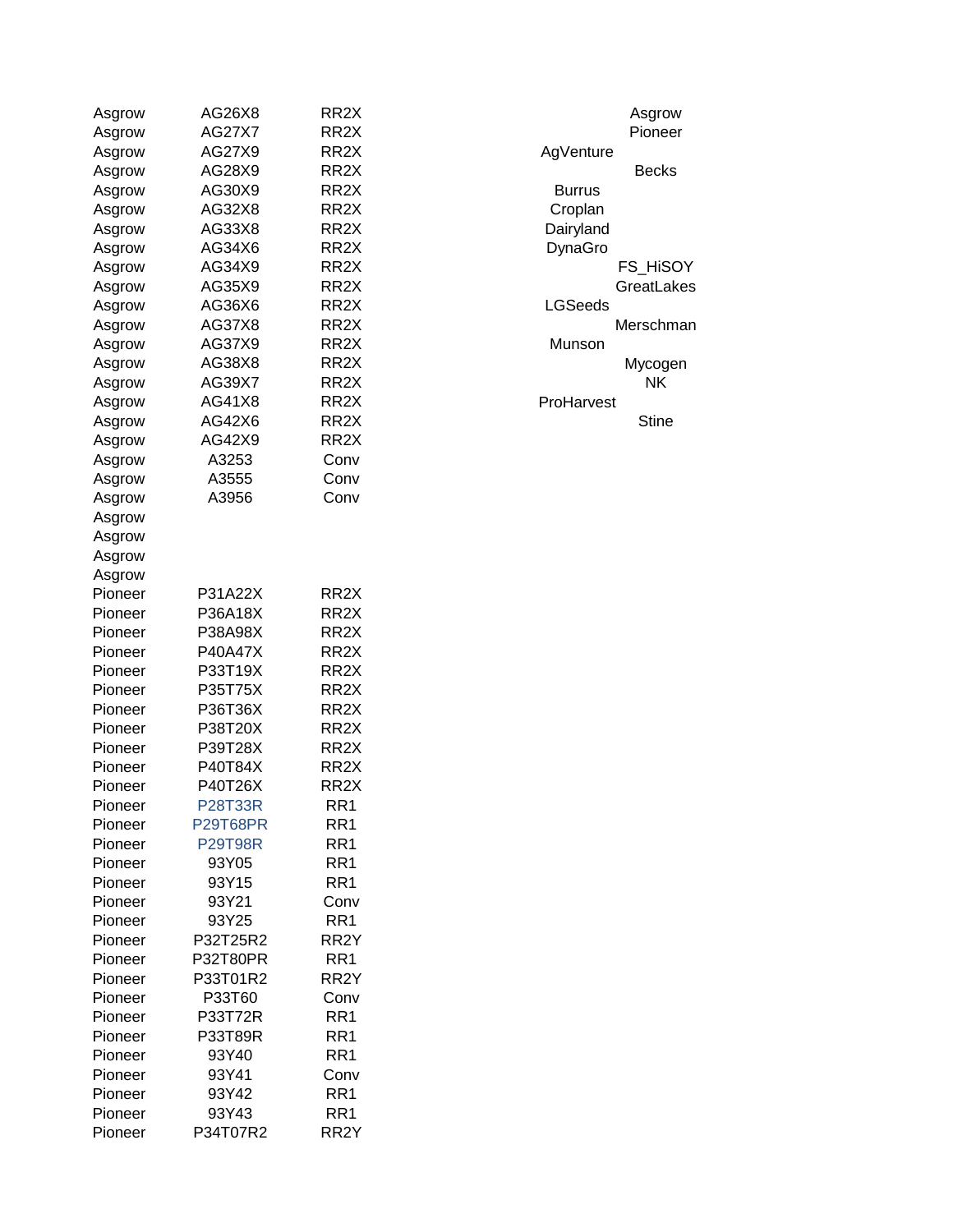| Asgrow  | AG26X8          | RR <sub>2</sub> X | Asgrow         |
|---------|-----------------|-------------------|----------------|
| Asgrow  | <b>AG27X7</b>   | RR <sub>2</sub> X | Pioneer        |
| Asgrow  | AG27X9          | RR <sub>2</sub> X | AgVenture      |
| Asgrow  | AG28X9          | RR <sub>2</sub> X | <b>Becks</b>   |
| Asgrow  | AG30X9          | RR <sub>2</sub> X | <b>Burrus</b>  |
| Asgrow  | AG32X8          | RR <sub>2</sub> X | Croplan        |
| Asgrow  | AG33X8          | RR <sub>2</sub> X | Dairyland      |
| Asgrow  | AG34X6          | RR <sub>2</sub> X | DynaGro        |
| Asgrow  | AG34X9          | RR <sub>2</sub> X | FS HiSOY       |
| Asgrow  | AG35X9          | RR <sub>2</sub> X | GreatLakes     |
| Asgrow  | AG36X6          | RR <sub>2</sub> X | <b>LGSeeds</b> |
| Asgrow  | AG37X8          | RR <sub>2</sub> X | Merschmar      |
| Asgrow  | AG37X9          | RR <sub>2</sub> X | Munson         |
| Asgrow  | AG38X8          | RR <sub>2</sub> X | Mycogen        |
| Asgrow  | AG39X7          | RR <sub>2</sub> X | <b>NK</b>      |
| Asgrow  | AG41X8          | RR <sub>2</sub> X | ProHarvest     |
| Asgrow  | AG42X6          | RR <sub>2</sub> X | Stine          |
| Asgrow  | AG42X9          | RR <sub>2</sub> X |                |
| Asgrow  | A3253           | Conv              |                |
| Asgrow  | A3555           | Conv              |                |
| Asgrow  | A3956           | Conv              |                |
| Asgrow  |                 |                   |                |
| Asgrow  |                 |                   |                |
|         |                 |                   |                |
| Asgrow  |                 |                   |                |
| Asgrow  |                 | RR <sub>2</sub> X |                |
| Pioneer | P31A22X         | RR <sub>2</sub> X |                |
| Pioneer | P36A18X         |                   |                |
| Pioneer | P38A98X         | RR <sub>2</sub> X |                |
| Pioneer | <b>P40A47X</b>  | RR <sub>2</sub> X |                |
| Pioneer | P33T19X         | RR <sub>2</sub> X |                |
| Pioneer | P35T75X         | RR <sub>2</sub> X |                |
| Pioneer | P36T36X         | RR <sub>2</sub> X |                |
| Pioneer | P38T20X         | RR <sub>2</sub> X |                |
| Pioneer | P39T28X         | RR <sub>2</sub> X |                |
| Pioneer | P40T84X         | RR <sub>2</sub> X |                |
| Pioneer | P40T26X         | RR <sub>2</sub> X |                |
| Pioneer | <b>P28T33R</b>  | RR <sub>1</sub>   |                |
| Pioneer | <b>P29T68PR</b> | RR <sub>1</sub>   |                |
| Pioneer | <b>P29T98R</b>  | RR <sub>1</sub>   |                |
| Pioneer | 93Y05           | RR <sub>1</sub>   |                |
| Pioneer | 93Y15           | RR <sub>1</sub>   |                |
| Pioneer | 93Y21           | Conv              |                |
| Pioneer | 93Y25           | RR1               |                |
| Pioneer | P32T25R2        | RR <sub>2</sub> Y |                |
| Pioneer | P32T80PR        | RR1               |                |
| Pioneer | P33T01R2        | RR <sub>2</sub> Y |                |
| Pioneer | P33T60          | Conv              |                |
| Pioneer | P33T72R         | RR <sub>1</sub>   |                |
| Pioneer | P33T89R         | RR <sub>1</sub>   |                |
| Pioneer | 93Y40           | RR1               |                |
| Pioneer | 93Y41           | Conv              |                |
| Pioneer | 93Y42           | RR <sub>1</sub>   |                |
| Pioneer | 93Y43           | RR <sub>1</sub>   |                |
| Pioneer | P34T07R2        | RR <sub>2</sub> Y |                |

| Asgrow          |
|-----------------|
| Pioneer         |
| AgVenture       |
| Becks           |
| Burrus          |
| Croplan         |
| Dairyland       |
| DynaGro         |
| <b>FS HISOY</b> |
| GreatLakes      |
| LGSeeds         |
| Merschman       |
| Munson          |
| Mycogen         |
| ΝK              |
| ProHarvest      |
| Stine           |
|                 |